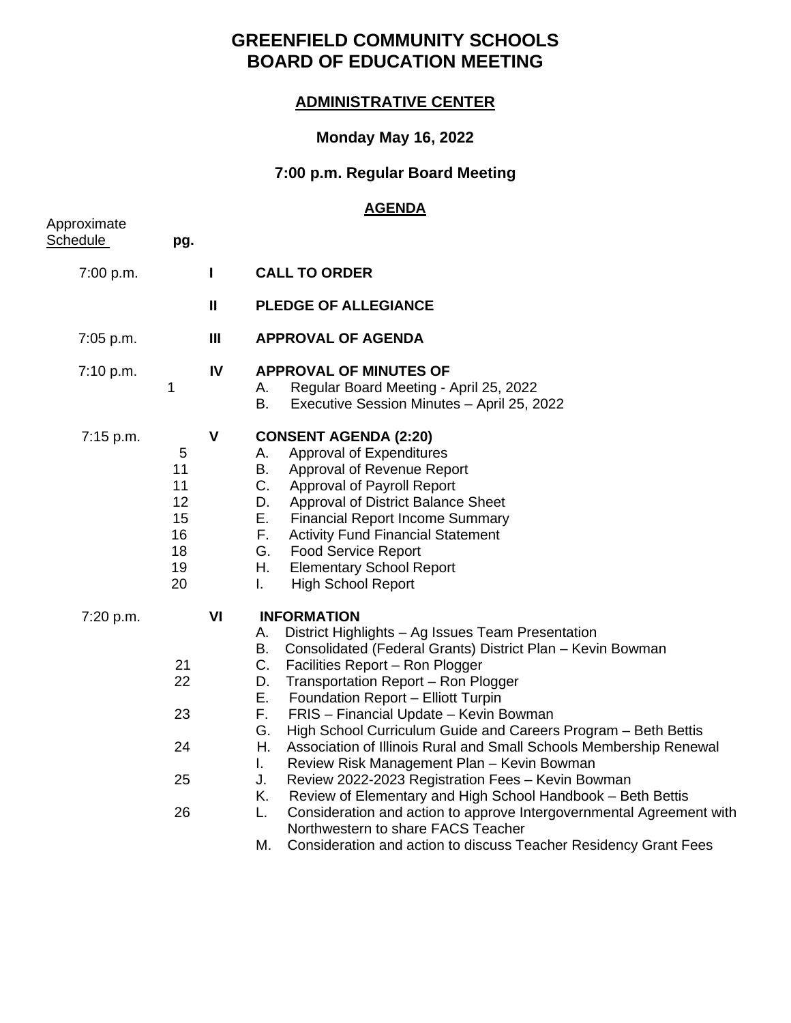# **GREENFIELD COMMUNITY SCHOOLS BOARD OF EDUCATION MEETING**

## **ADMINISTRATIVE CENTER**

## **Monday May 16, 2022**

## **7:00 p.m. Regular Board Meeting**

## **AGENDA**

| pg.                                               |                |                                                                                                                                                                                                                                                                                                                                                                                                                                                                                                                                                                                                                                                                                                                                                                                                                                                                           |
|---------------------------------------------------|----------------|---------------------------------------------------------------------------------------------------------------------------------------------------------------------------------------------------------------------------------------------------------------------------------------------------------------------------------------------------------------------------------------------------------------------------------------------------------------------------------------------------------------------------------------------------------------------------------------------------------------------------------------------------------------------------------------------------------------------------------------------------------------------------------------------------------------------------------------------------------------------------|
|                                                   | L              | <b>CALL TO ORDER</b>                                                                                                                                                                                                                                                                                                                                                                                                                                                                                                                                                                                                                                                                                                                                                                                                                                                      |
|                                                   | $\mathbf{I}$   | <b>PLEDGE OF ALLEGIANCE</b>                                                                                                                                                                                                                                                                                                                                                                                                                                                                                                                                                                                                                                                                                                                                                                                                                                               |
|                                                   | $\mathbf{III}$ | <b>APPROVAL OF AGENDA</b>                                                                                                                                                                                                                                                                                                                                                                                                                                                                                                                                                                                                                                                                                                                                                                                                                                                 |
| 1                                                 | IV             | <b>APPROVAL OF MINUTES OF</b><br>Regular Board Meeting - April 25, 2022<br>А.<br>B.<br>Executive Session Minutes - April 25, 2022                                                                                                                                                                                                                                                                                                                                                                                                                                                                                                                                                                                                                                                                                                                                         |
| 5<br>11<br>11<br>12<br>15<br>16<br>18<br>19<br>20 | $\mathbf v$    | <b>CONSENT AGENDA (2:20)</b><br>Approval of Expenditures<br>А.<br>B.<br>Approval of Revenue Report<br>C.<br>Approval of Payroll Report<br>D.<br>Approval of District Balance Sheet<br>Е.<br><b>Financial Report Income Summary</b><br>F.<br><b>Activity Fund Financial Statement</b><br>G.<br><b>Food Service Report</b><br>Η.<br><b>Elementary School Report</b><br>$\mathbf{L}$<br><b>High School Report</b>                                                                                                                                                                                                                                                                                                                                                                                                                                                            |
| 21<br>22<br>23<br>24<br>25<br>26                  | VI             | <b>INFORMATION</b><br>District Highlights - Ag Issues Team Presentation<br>Α.<br>Consolidated (Federal Grants) District Plan - Kevin Bowman<br>B.<br>C.<br>Facilities Report - Ron Plogger<br>Transportation Report - Ron Plogger<br>D.<br>Е.<br>Foundation Report - Elliott Turpin<br>F.<br>FRIS - Financial Update - Kevin Bowman<br>G.<br>High School Curriculum Guide and Careers Program - Beth Bettis<br>Н.<br>Association of Illinois Rural and Small Schools Membership Renewal<br>Review Risk Management Plan - Kevin Bowman<br>I.<br>Review 2022-2023 Registration Fees - Kevin Bowman<br>J.<br>Κ.<br>Review of Elementary and High School Handbook - Beth Bettis<br>Consideration and action to approve Intergovernmental Agreement with<br>L.<br>Northwestern to share FACS Teacher<br>М.<br>Consideration and action to discuss Teacher Residency Grant Fees |
|                                                   |                |                                                                                                                                                                                                                                                                                                                                                                                                                                                                                                                                                                                                                                                                                                                                                                                                                                                                           |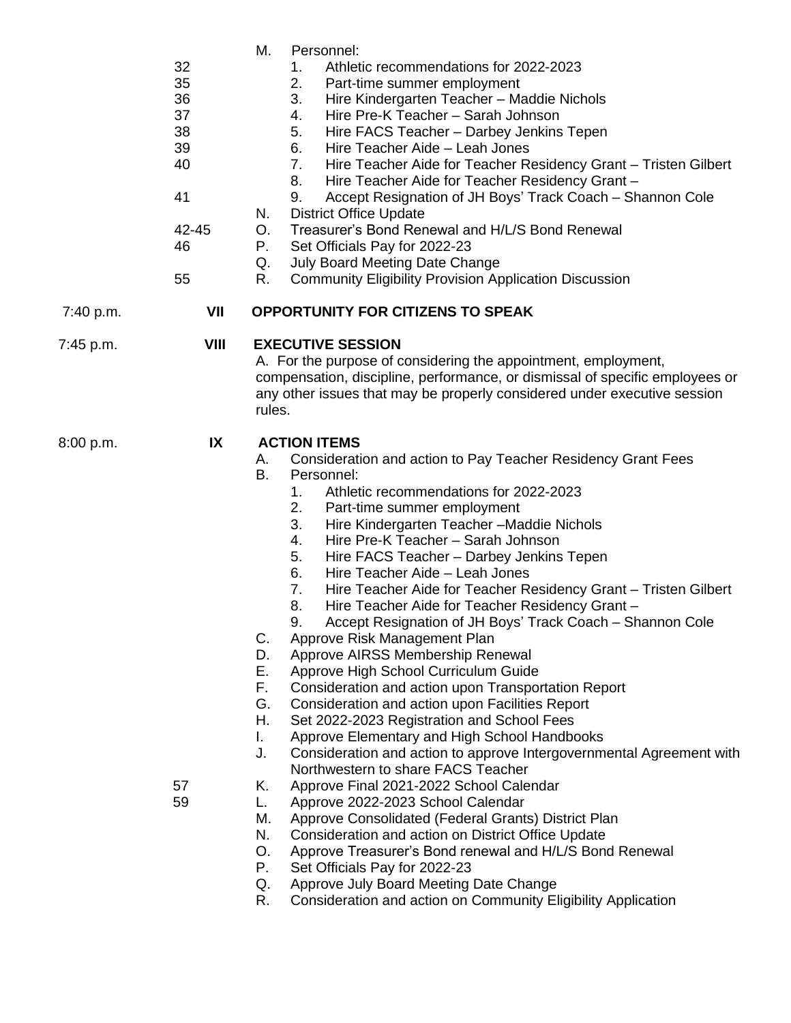|           | 32<br>35<br>36<br>37<br>38<br>39<br>40<br>41<br>42-45<br>46<br>55 | М.<br>Personnel:<br>Athletic recommendations for 2022-2023<br>1.<br>2.<br>Part-time summer employment<br>3.<br>Hire Kindergarten Teacher - Maddie Nichols<br>Hire Pre-K Teacher - Sarah Johnson<br>4.<br>5.<br>Hire FACS Teacher - Darbey Jenkins Tepen<br>Hire Teacher Aide - Leah Jones<br>6.<br>Hire Teacher Aide for Teacher Residency Grant - Tristen Gilbert<br>7.<br>Hire Teacher Aide for Teacher Residency Grant -<br>8.<br>Accept Resignation of JH Boys' Track Coach - Shannon Cole<br>9.<br><b>District Office Update</b><br>N.<br>Treasurer's Bond Renewal and H/L/S Bond Renewal<br>O.<br>Ρ.<br>Set Officials Pay for 2022-23<br>Q.<br><b>July Board Meeting Date Change</b><br>R.<br><b>Community Eligibility Provision Application Discussion</b>                                                                                                                                                                                                                                                                                                                                                                                                                                                                                                                                                                                                                                                 |
|-----------|-------------------------------------------------------------------|-------------------------------------------------------------------------------------------------------------------------------------------------------------------------------------------------------------------------------------------------------------------------------------------------------------------------------------------------------------------------------------------------------------------------------------------------------------------------------------------------------------------------------------------------------------------------------------------------------------------------------------------------------------------------------------------------------------------------------------------------------------------------------------------------------------------------------------------------------------------------------------------------------------------------------------------------------------------------------------------------------------------------------------------------------------------------------------------------------------------------------------------------------------------------------------------------------------------------------------------------------------------------------------------------------------------------------------------------------------------------------------------------------------------|
| 7:40 p.m. | VII                                                               | <b>OPPORTUNITY FOR CITIZENS TO SPEAK</b>                                                                                                                                                                                                                                                                                                                                                                                                                                                                                                                                                                                                                                                                                                                                                                                                                                                                                                                                                                                                                                                                                                                                                                                                                                                                                                                                                                          |
| 7:45 p.m. | VIII                                                              | <b>EXECUTIVE SESSION</b><br>A. For the purpose of considering the appointment, employment,<br>compensation, discipline, performance, or dismissal of specific employees or<br>any other issues that may be properly considered under executive session<br>rules.                                                                                                                                                                                                                                                                                                                                                                                                                                                                                                                                                                                                                                                                                                                                                                                                                                                                                                                                                                                                                                                                                                                                                  |
| 8:00 p.m. | IX<br>57<br>59                                                    | <b>ACTION ITEMS</b><br>Consideration and action to Pay Teacher Residency Grant Fees<br>А.<br>B.<br>Personnel:<br>Athletic recommendations for 2022-2023<br>1.<br>2.<br>Part-time summer employment<br>3.<br>Hire Kindergarten Teacher - Maddie Nichols<br>4.<br>Hire Pre-K Teacher - Sarah Johnson<br>5.<br>Hire FACS Teacher - Darbey Jenkins Tepen<br>6.<br>Hire Teacher Aide - Leah Jones<br>Hire Teacher Aide for Teacher Residency Grant - Tristen Gilbert<br>7.<br>8.<br>Hire Teacher Aide for Teacher Residency Grant -<br>Accept Resignation of JH Boys' Track Coach - Shannon Cole<br>9.<br>Approve Risk Management Plan<br>C.<br>Approve AIRSS Membership Renewal<br>D.<br>Е.<br>Approve High School Curriculum Guide<br>F.,<br>Consideration and action upon Transportation Report<br>G.<br>Consideration and action upon Facilities Report<br>Η.<br>Set 2022-2023 Registration and School Fees<br>Approve Elementary and High School Handbooks<br>L.<br>Consideration and action to approve Intergovernmental Agreement with<br>J.<br>Northwestern to share FACS Teacher<br>Approve Final 2021-2022 School Calendar<br>Κ.<br>Approve 2022-2023 School Calendar<br>L.<br>Approve Consolidated (Federal Grants) District Plan<br>М.<br>N.<br>Consideration and action on District Office Update<br>O.<br>Approve Treasurer's Bond renewal and H/L/S Bond Renewal<br>Set Officials Pay for 2022-23<br>Р. |

R. Consideration and action on Community Eligibility Application